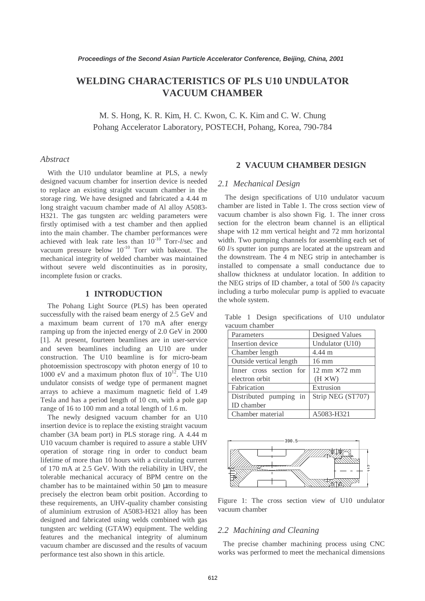# **WELDING CHARACTERISTICS OF PLS U10 UNDULATOR VACUUM CHAMBER**

M. S. Hong, K. R. Kim, H. C. Kwon, C. K. Kim and C. W. Chung Pohang Accelerator Laboratory, POSTECH, Pohang, Korea, 790-784

#### *Abstract*

With the U10 undulator beamline at PLS, a newly designed vacuum chamber for insertion device is needed to replace an existing straight vacuum chamber in the storage ring. We have designed and fabricated a 4.44 m long straight vacuum chamber made of Al alloy A5083- H321. The gas tungsten arc welding parameters were firstly optimised with a test chamber and then applied into the main chamber. The chamber performances were achieved with leak rate less than 10-10 Torr-*l*/sec and vacuum pressure below  $10^{-10}$  Torr with bakeout. The mechanical integrity of welded chamber was maintained without severe weld discontinuities as in porosity, incomplete fusion or cracks.

#### **1 INTRODUCTION**

The Pohang Light Source (PLS) has been operated successfully with the raised beam energy of 2.5 GeV and a maximum beam current of 170 mA after energy ramping up from the injected energy of 2.0 GeV in 2000 [1]. At present, fourteen beamlines are in user-service and seven beamlines including an U10 are under construction. The U10 beamline is for micro-beam photoemission spectroscopy with photon energy of 10 to 1000 eV and a maximum photon flux of  $10^{12}$ . The U10 undulator consists of wedge type of permanent magnet arrays to achieve a maximum magnetic field of 1.49 Tesla and has a period length of 10 cm, with a pole gap range of 16 to 100 mm and a total length of 1.6 m.

The newly designed vacuum chamber for an U10 insertion device is to replace the existing straight vacuum chamber (3A beam port) in PLS storage ring. A 4.44 m U10 vacuum chamber is required to assure a stable UHV operation of storage ring in order to conduct beam lifetime of more than 10 hours with a circulating current of 170 mA at 2.5 GeV. With the reliability in UHV, the tolerable mechanical accuracy of BPM centre on the chamber has to be maintained within 50 µm to measure precisely the electron beam orbit position. According to these requirements, an UHV-quality chamber consisting of aluminium extrusion of A5083-H321 alloy has been designed and fabricated using welds combined with gas tungsten arc welding (GTAW) equipment. The welding features and the mechanical integrity of aluminum vacuum chamber are discussed and the results of vacuum performance test also shown in this article.

## **2 VACUUM CHAMBER DESIGN**

## *2.1 Mechanical Design*

The design specifications of U10 undulator vacuum chamber are listed in Table 1. The cross section view of vacuum chamber is also shown Fig. 1. The inner cross section for the electron beam channel is an elliptical shape with 12 mm vertical height and 72 mm horizontal width. Two pumping channels for assembling each set of 60 *l*/s sputter ion pumps are located at the upstream and the downstream. The 4 m NEG strip in antechamber is installed to compensate a small conductance due to shallow thickness at undulator location. In addition to the NEG strips of ID chamber, a total of 500 *l*/s capacity including a turbo molecular pump is applied to evacuate the whole system.

Table 1 Design specifications of U10 undulator vacuum chamber

| Parameters              | Designed Values                      |  |
|-------------------------|--------------------------------------|--|
| Insertion device        | Undulator (U10)                      |  |
| Chamber length          | 4.44 m                               |  |
| Outside vertical length | $16 \text{ mm}$                      |  |
| Inner cross section for | $12 \text{ mm} \times 72 \text{ mm}$ |  |
| electron orbit          | $(H \times W)$                       |  |
| Fabrication             | Extrusion                            |  |
| Distributed pumping in  | Strip NEG (ST707)                    |  |
| <b>ID</b> chamber       |                                      |  |
| Chamber material        | A5083-H321                           |  |



Figure 1: The cross section view of U10 undulator vacuum chamber

## *2.2 Machining and Cleaning*

The precise chamber machining process using CNC works was performed to meet the mechanical dimensions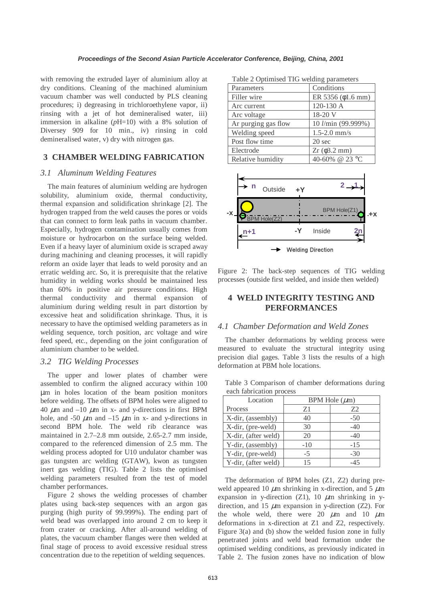with removing the extruded layer of aluminium alloy at dry conditions. Cleaning of the machined aluminium vacuum chamber was well conducted by PLS cleaning procedures; i) degreasing in trichloroethylene vapor, ii) rinsing with a jet of hot demineralised water, iii) immersion in alkaline (*p*H=10) with a 8% solution of Diversey 909 for 10 min., iv) rinsing in cold demineralised water, v) dry with nitrogen gas.

## **3 CHAMBER WELDING FABRICATION**

## *3.1 Aluminum Welding Features*

The main features of aluminium welding are hydrogen solubility, aluminium oxide, thermal conductivity, thermal expansion and solidification shrinkage [2]. The hydrogen trapped from the weld causes the pores or voids that can connect to form leak paths in vacuum chamber. Especially, hydrogen contamination usually comes from moisture or hydrocarbon on the surface being welded. Even if a heavy layer of aluminium oxide is scraped away during machining and cleaning processes, it will rapidly reform an oxide layer that leads to weld porosity and an erratic welding arc. So, it is prerequisite that the relative humidity in welding works should be maintained less than 60% in positive air pressure conditions. High thermal conductivity and thermal expansion of aluminium during welding result in part distortion by excessive heat and solidification shrinkage. Thus, it is necessary to have the optimised welding parameters as in welding sequence, torch position, arc voltage and wire feed speed, etc., depending on the joint configuration of aluminium chamber to be welded.

#### *3.2 TIG Welding Processes*

The upper and lower plates of chamber were assembled to confirm the aligned accuracy within 100 µm in holes location of the beam position monitors before welding. The offsets of BPM holes were aligned to 40  $\mu$ m and –10  $\mu$ m in x- and y-directions in first BPM hole, and -50  $\mu$ m and -15  $\mu$ m in x- and y-directions in second BPM hole. The weld rib clearance was maintained in 2.7–2.8 mm outside, 2.65-2.7 mm inside, compared to the referenced dimension of 2.5 mm. The welding process adopted for U10 undulator chamber was gas tungsten arc welding (GTAW), kwon as tungsten inert gas welding (TIG). Table 2 lists the optimised welding parameters resulted from the test of model chamber performances.

Figure 2 shows the welding processes of chamber plates using back-step sequences with an argon gas purging (high purity of 99.999%). The ending part of weld bead was overlapped into around 2 cm to keep it from crater or cracking. After all-around welding of plates, the vacuum chamber flanges were then welded at final stage of process to avoid excessive residual stress concentration due to the repetition of welding sequences.

| Table 2 Optimised TIG welding parameters |                          |  |
|------------------------------------------|--------------------------|--|
| Parameters                               | Conditions               |  |
| Filler wire                              | ER 5356 ( $\phi$ 1.6 mm) |  |
| Arc current                              | 120-130 A                |  |
| Arc voltage                              | 18-20 V                  |  |
| Ar purging gas flow                      | 10 l/min (99.999%)       |  |
| Welding speed                            | $1.5 - 2.0$ mm/s         |  |
| Post flow time                           | 20 sec                   |  |
| Electrode                                | $Zr$ ( $\phi$ 3.2 mm)    |  |
| Relative humidity                        | 40-60% @ 23 °C           |  |



Figure 2: The back-step sequences of TIG welding processes (outside first welded, and inside then welded)

# **4 WELD INTEGRITY TESTING AND PERFORMANCES**

#### *4.1 Chamber Deformation and Weld Zones*

The chamber deformations by welding process were measured to evaluate the structural integrity using precision dial gages. Table 3 lists the results of a high deformation at PBM hole locations.

Table 3 Comparison of chamber deformations during each fabrication process

| Location            | BPM Hole $(\mu m)$ |       |
|---------------------|--------------------|-------|
| Process             | Z1                 | 72    |
| X-dir, (assembly)   | 40                 | $-50$ |
| X-dir, (pre-weld)   | 30                 | $-40$ |
| X-dir, (after weld) | 20                 | $-40$ |
| Y-dir, (assembly)   | $-10$              | $-15$ |
| Y-dir, (pre-weld)   | $-5$               | $-30$ |
| Y-dir, (after weld) | 15                 | -45   |

The deformation of BPM holes (Z1, Z2) during preweld appeared 10  $\mu$ m shrinking in x-direction, and 5  $\mu$ m expansion in y-direction (Z1), 10  $\mu$ m shrinking in ydirection, and 15  $\mu$ m expansion in y-direction (Z2). For the whole weld, there were 20  $\mu$ m and 10  $\mu$ m deformations in x-direction at Z1 and Z2, respectively. Figure 3(a) and (b) show the welded fusion zone in fully penetrated joints and weld bead formation under the optimised welding conditions, as previously indicated in Table 2. The fusion zones have no indication of blow